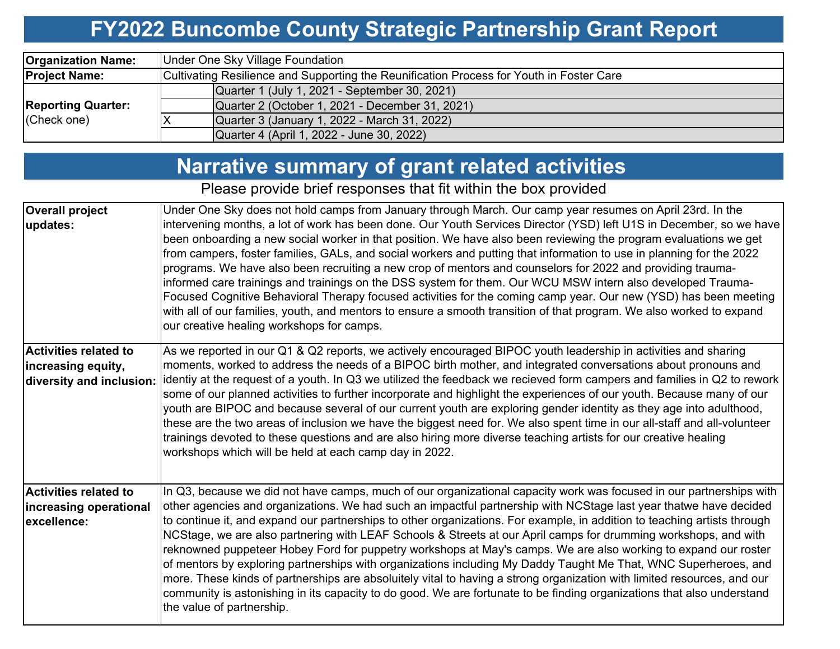## **FY2022 Buncombe County Strategic Partnership Grant Report**

| <b>Organization Name:</b> | Under One Sky Village Foundation                                                         |  |  |  |  |  |  |
|---------------------------|------------------------------------------------------------------------------------------|--|--|--|--|--|--|
| <b>Project Name:</b>      | Cultivating Resilience and Supporting the Reunification Process for Youth in Foster Care |  |  |  |  |  |  |
|                           | Quarter 1 (July 1, 2021 - September 30, 2021)                                            |  |  |  |  |  |  |
| <b>Reporting Quarter:</b> | Quarter 2 (October 1, 2021 - December 31, 2021)                                          |  |  |  |  |  |  |
| (Check one)               | Quarter 3 (January 1, 2022 - March 31, 2022)                                             |  |  |  |  |  |  |
|                           | Quarter 4 (April 1, 2022 - June 30, 2022)                                                |  |  |  |  |  |  |

# **Narrative summary of grant related activities**

Please provide brief responses that fit within the box provided

| <b>Overall project</b><br>updates:                                             | Under One Sky does not hold camps from January through March. Our camp year resumes on April 23rd. In the<br>intervening months, a lot of work has been done. Our Youth Services Director (YSD) left U1S in December, so we have<br>been onboarding a new social worker in that position. We have also been reviewing the program evaluations we get<br>from campers, foster families, GALs, and social workers and putting that information to use in planning for the 2022<br>programs. We have also been recruiting a new crop of mentors and counselors for 2022 and providing trauma-<br>informed care trainings and trainings on the DSS system for them. Our WCU MSW intern also developed Trauma-<br>Focused Cognitive Behavioral Therapy focused activities for the coming camp year. Our new (YSD) has been meeting<br>with all of our families, youth, and mentors to ensure a smooth transition of that program. We also worked to expand<br>our creative healing workshops for camps.             |
|--------------------------------------------------------------------------------|----------------------------------------------------------------------------------------------------------------------------------------------------------------------------------------------------------------------------------------------------------------------------------------------------------------------------------------------------------------------------------------------------------------------------------------------------------------------------------------------------------------------------------------------------------------------------------------------------------------------------------------------------------------------------------------------------------------------------------------------------------------------------------------------------------------------------------------------------------------------------------------------------------------------------------------------------------------------------------------------------------------|
| <b>Activities related to</b><br>increasing equity,<br>diversity and inclusion: | As we reported in our Q1 & Q2 reports, we actively encouraged BIPOC youth leadership in activities and sharing<br>moments, worked to address the needs of a BIPOC birth mother, and integrated conversations about pronouns and<br> identiy at the request of a youth. In Q3 we utilized the feedback we recieved form campers and families in Q2 to rework  <br>some of our planned activities to further incorporate and highlight the experiences of our youth. Because many of our<br>youth are BIPOC and because several of our current youth are exploring gender identity as they age into adulthood,<br>these are the two areas of inclusion we have the biggest need for. We also spent time in our all-staff and all-volunteer<br>trainings devoted to these questions and are also hiring more diverse teaching artists for our creative healing<br>workshops which will be held at each camp day in 2022.                                                                                          |
| <b>Activities related to</b><br>increasing operational<br>excellence:          | In Q3, because we did not have camps, much of our organizational capacity work was focused in our partnerships with<br>other agencies and organizations. We had such an impactful partnership with NCStage last year thatwe have decided<br>to continue it, and expand our partnerships to other organizations. For example, in addition to teaching artists through<br>NCStage, we are also partnering with LEAF Schools & Streets at our April camps for drumming workshops, and with<br>reknowned puppeteer Hobey Ford for puppetry workshops at May's camps. We are also working to expand our roster<br>of mentors by exploring partnerships with organizations including My Daddy Taught Me That, WNC Superheroes, and<br>more. These kinds of partnerships are absoluitely vital to having a strong organization with limited resources, and our<br>community is astonishing in its capacity to do good. We are fortunate to be finding organizations that also understand<br>the value of partnership. |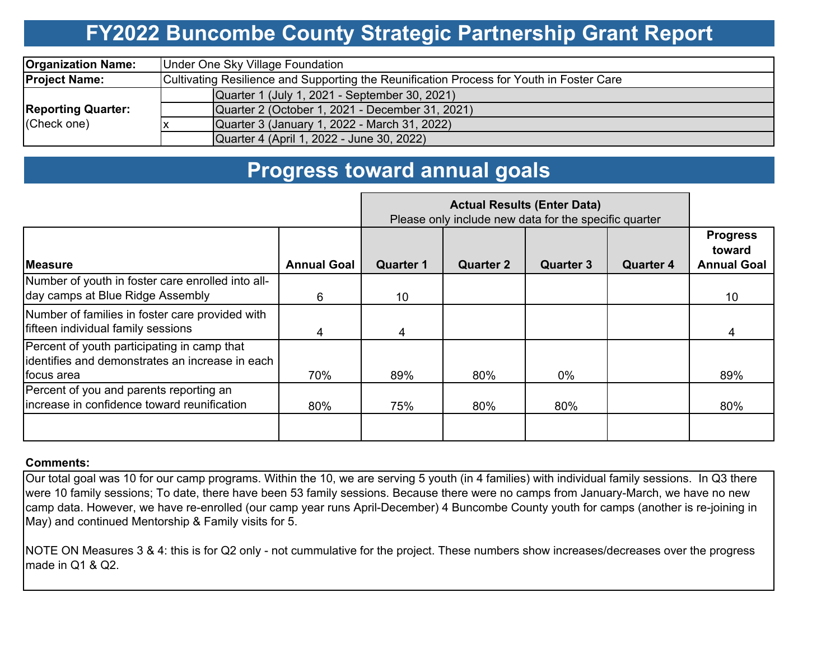### **FY2022 Buncombe County Strategic Partnership Grant Report**

| <b>Organization Name:</b>                | Under One Sky Village Foundation                                                         |  |  |  |  |  |  |  |
|------------------------------------------|------------------------------------------------------------------------------------------|--|--|--|--|--|--|--|
| <b>Project Name:</b>                     | Cultivating Resilience and Supporting the Reunification Process for Youth in Foster Care |  |  |  |  |  |  |  |
|                                          | Quarter 1 (July 1, 2021 - September 30, 2021)                                            |  |  |  |  |  |  |  |
| <b>Reporting Quarter:</b><br>(Check one) | Quarter 2 (October 1, 2021 - December 31, 2021)                                          |  |  |  |  |  |  |  |
|                                          | Quarter 3 (January 1, 2022 - March 31, 2022)                                             |  |  |  |  |  |  |  |
|                                          | Quarter 4 (April 1, 2022 - June 30, 2022)                                                |  |  |  |  |  |  |  |

### **Progress toward annual goals**

|                                                                                                               | Please only include new data for the specific quarter |                  |                  |                  |                  |                                                 |
|---------------------------------------------------------------------------------------------------------------|-------------------------------------------------------|------------------|------------------|------------------|------------------|-------------------------------------------------|
| <b>IMeasure</b>                                                                                               | <b>Annual Goal</b>                                    | <b>Quarter 1</b> | <b>Quarter 2</b> | <b>Quarter 3</b> | <b>Quarter 4</b> | <b>Progress</b><br>toward<br><b>Annual Goal</b> |
| Number of youth in foster care enrolled into all-<br>day camps at Blue Ridge Assembly                         | 6                                                     | 10 <sup>°</sup>  |                  |                  |                  | 10                                              |
| Number of families in foster care provided with<br>fifteen individual family sessions                         | 4                                                     |                  |                  |                  |                  | 4                                               |
| Percent of youth participating in camp that<br>lidentifies and demonstrates an increase in each<br>focus area | 70%                                                   | 89%              | 80%              | 0%               |                  | 89%                                             |
| Percent of you and parents reporting an<br>Iincrease in confidence toward reunification                       | 80%                                                   | 75%              | 80%              | 80%              |                  | 80%                                             |
|                                                                                                               |                                                       |                  |                  |                  |                  |                                                 |

### **Comments:**

Our total goal was 10 for our camp programs. Within the 10, we are serving 5 youth (in 4 families) with individual family sessions. In Q3 there were 10 family sessions; To date, there have been 53 family sessions. Because there were no camps from January-March, we have no new camp data. However, we have re-enrolled (our camp year runs April-December) 4 Buncombe County youth for camps (another is re-joining in May) and continued Mentorship & Family visits for 5.

NOTE ON Measures 3 & 4: this is for Q2 only - not cummulative for the project. These numbers show increases/decreases over the progress made in Q1 & Q2.